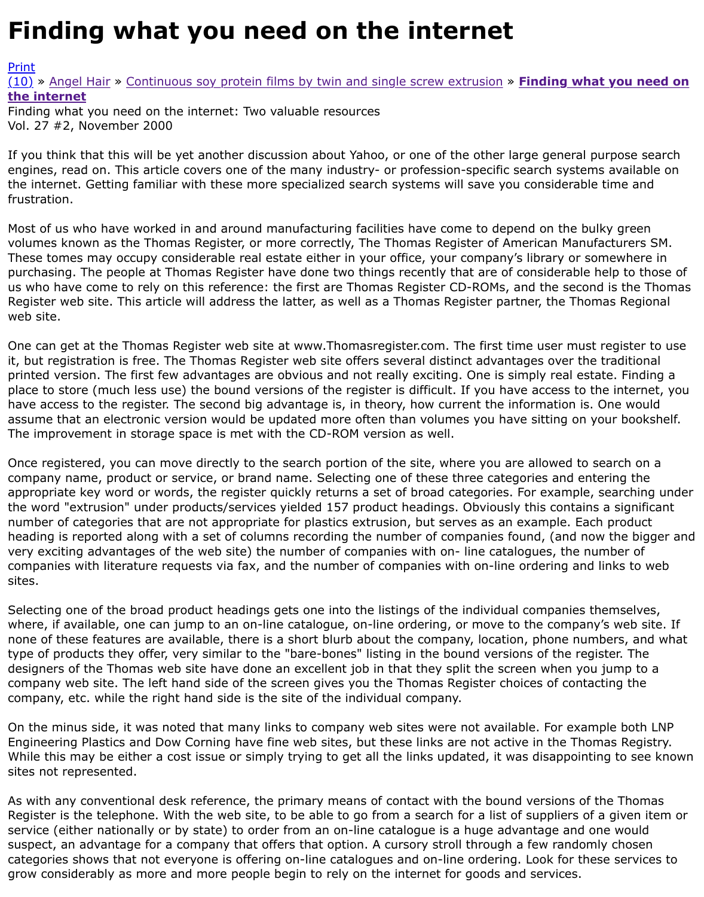## Vol. 27 #2, November 2000

If you think that this will be yet another discussion about Yahoo, or one of the other large general p engines, read on. This article covers one of the many industry- or profession-specific search system [the in](http://extrusionwiki.com/wiki/Print.aspx?Page=CC-V27-2-G)ternet. Getting familiar with these more specialized search systems will save you considerable [frust](http://extrusionwiki.com/wiki/CC-V27-2-G.ashx#)ra[tion.](http://extrusionwiki.com/wiki/CC-V27-2-E.ashx)

Most of us who have worked in and around manufacturing facilities have come to depend on the bul volumes known as the Thomas Register, or more correctly, The Thomas Register of American Manuf These tomes may occupy considerable real estate either in your office, your company's library or so purchasing. The people at Thomas Register have done two things recently that are of considerable h us who have come to rely on this reference: the first are Thomas Register CD-ROMs, and the secone Register web site. This article will address the latter, as well as a Thomas Register partner, the Thon web site.

One can get at the Thomas Register web site at www.Thomasregister.com. The first time user must it, but registration is free. The Thomas Register web site offers several distinct advantages over the printed version. The first few advantages are obvious and not really exciting. One is simply real estate. place to store (much less use) the bound versions of the register is difficult. If you have access to the have access to the register. The second big advantage is, in theory, how current the information is. assume that an electronic version would be updated more often than volumes you have sitting on y The improvement in storage space is met with the CD-ROM version as well.

Once registered, you can move directly to the search portion of the site, where you are allowed to s company name, product or service, or brand name. Selecting one of these three categories and ent appropriate key word or words, the register quickly returns a set of broad categories. For example, the word "extrusion" under products/services yielded 157 product headings. Obviously this contains number of categories that are not appropriate for plastics extrusion, but serves as an example. Eacl heading is reported along with a set of columns recording the number of companies found, (and now very exciting advantages of the web site) the number of companies with on-line catalogues, the nu companies with literature requests via fax, and the number of companies with on-line ordering and sites.

Selecting one of the broad product headings gets one into the listings of the individual companies th where, if available, one can jump to an on-line catalogue, on-line ordering, or move to the company none of these features are available, there is a short blurb about the company, location, phone num type of products they offer, very similar to the "bare-bones" listing in the bound versions of the regi designers of the Thomas web site have done an excellent job in that they split the screen when you company web site. The left hand side of the screen gives you the Thomas Register choices of contaction company, etc. while the right hand side is the site of the individual company.

On the minus side, it was noted that many links to company web sites were not available. For exam Engineering Plastics and Dow Corning have fine web sites, but these links are not active in the Thor While this may be either a cost issue or simply trying to get all the links updated, it was disappointing sites not represented.

As with any conventional desk reference, the primary means of contact with the bound versions of t Register is the telephone. With the web site, to be able to go from a search for a list of suppliers of service (either nationally or by state) to order from an on-line catalogue is a huge advantage and on suspect, an advantage for a company that offers that option. A cursory stroll through a few random categories shows that not everyone is offering on-line catalogues and on-line ordering. Look for the grow considerably as more and more people begin to rely on the internet for goods and services.